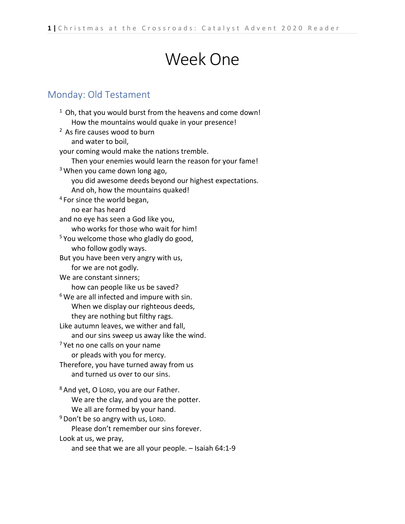# Week One

### Monday: Old Testament

 $1$  Oh, that you would burst from the heavens and come down! How the mountains would quake in your presence! <sup>2</sup> As fire causes wood to burn and water to boil, your coming would make the nations tremble. Then your enemies would learn the reason for your fame! <sup>3</sup> When you came down long ago, you did awesome deeds beyond our highest expectations. And oh, how the mountains quaked! <sup>4</sup> For since the world began, no ear has heard and no eye has seen a God like you, who works for those who wait for him! <sup>5</sup> You welcome those who gladly do good, who follow godly ways. But you have been very angry with us, for we are not godly. We are constant sinners; how can people like us be saved?  $6$  We are all infected and impure with sin. When we display our righteous deeds, they are nothing but filthy rags. Like autumn leaves, we wither and fall, and our sins sweep us away like the wind.  $<sup>7</sup>$  Yet no one calls on your name</sup> or pleads with you for mercy. Therefore, you have turned away from us and turned us over to our sins. <sup>8</sup> And yet, O LORD, you are our Father. We are the clay, and you are the potter. We all are formed by your hand.  $9$  Don't be so angry with us, LORD. Please don't remember our sins forever. Look at us, we pray, and see that we are all your people. – Isaiah 64:1-9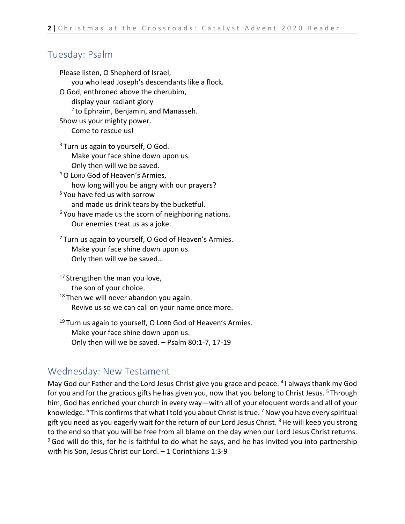### Tuesday: Psalm

Please listen, O Shepherd of Israel, you who lead Joseph's descendants like a flock. O God, enthroned above the cherubim, display your radiant glory  $2$  to Ephraim, Benjamin, and Manasseh. Show us your mighty power. Come to rescue us!  $3$  Turn us again to yourself, O God. Make your face shine down upon us. Only then will we be saved. 4O LORD God of Heaven's Armies, how long will you be angry with our prayers? <sup>5</sup> You have fed us with sorrow and made us drink tears by the bucketful.  $6$  You have made us the scorn of neighboring nations. Our enemies treat us as a joke.  $7$  Turn us again to yourself, O God of Heaven's Armies. Make your face shine down upon us. Only then will we be saved…  $17$  Strengthen the man you love, the son of your choice.  $18$  Then we will never abandon you again.

Revive us so we can call on your name once more.

<sup>19</sup> Turn us again to yourself, O Lord God of Heaven's Armies. Make your face shine down upon us. Only then will we be saved. – Psalm 80:1-7, 17-19

### Wednesday: New Testament

May God our Father and the Lord Jesus Christ give you grace and peace. 4 I always thank my God for you and for the gracious gifts he has given you, now that you belong to Christ Jesus.<sup>5</sup> Through him, God has enriched your church in every way—with all of your eloquent words and all of your knowledge. <sup>6</sup> This confirms that what I told you about Christ is true. <sup>7</sup> Now you have every spiritual gift you need as you eagerly wait for the return of our Lord Jesus Christ. <sup>8</sup> He will keep you strong to the end so that you will be free from all blame on the day when our Lord Jesus Christ returns.  $9$  God will do this, for he is faithful to do what he says, and he has invited you into partnership with his Son, Jesus Christ our Lord. – 1 Corinthians 1:3-9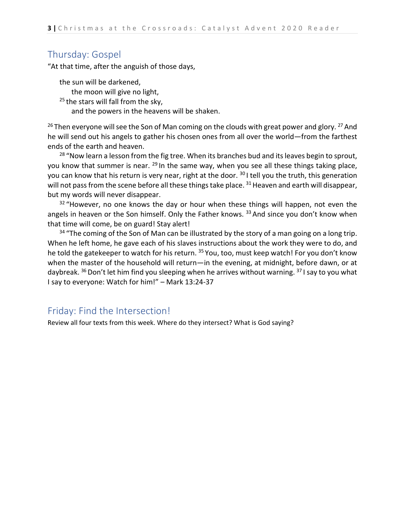### Thursday: Gospel

"At that time, after the anguish of those days,

the sun will be darkened, the moon will give no light,  $25$  the stars will fall from the sky, and the powers in the heavens will be shaken.

 $26$  Then everyone will see the Son of Man coming on the clouds with great power and glory. <sup>27</sup> And he will send out his angels to gather his chosen ones from all over the world—from the farthest ends of the earth and heaven.

<sup>28</sup> "Now learn a lesson from the fig tree. When its branches bud and its leaves begin to sprout, you know that summer is near. <sup>29</sup> In the same way, when you see all these things taking place, you can know that his return is very near, right at the door. <sup>30</sup> I tell you the truth, this generation will not pass from the scene before all these things take place. <sup>31</sup> Heaven and earth will disappear, but my words will never disappear.

 $32$  "However, no one knows the day or hour when these things will happen, not even the angels in heaven or the Son himself. Only the Father knows.  $33$  And since you don't know when that time will come, be on guard! Stay alert!

 $34$  "The coming of the Son of Man can be illustrated by the story of a man going on a long trip. When he left home, he gave each of his slaves instructions about the work they were to do, and he told the gatekeeper to watch for his return. <sup>35</sup> You, too, must keep watch! For you don't know when the master of the household will return—in the evening, at midnight, before dawn, or at daybreak.  $36$  Don't let him find you sleeping when he arrives without warning.  $37$  I say to you what I say to everyone: Watch for him!" – Mark 13:24-37

### Friday: Find the Intersection!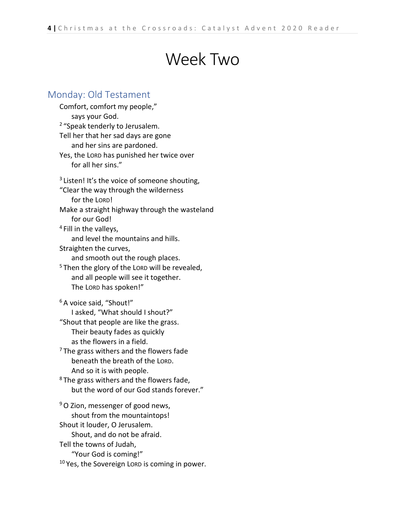## Week Two

### Monday: Old Testament

Comfort, comfort my people," says your God. <sup>2</sup> "Speak tenderly to Jerusalem. Tell her that her sad days are gone and her sins are pardoned. Yes, the LORD has punished her twice over for all her sins."  $3$  Listen! It's the voice of someone shouting, "Clear the way through the wilderness for the LORD! Make a straight highway through the wasteland for our God! <sup>4</sup> Fill in the valleys, and level the mountains and hills. Straighten the curves, and smooth out the rough places.  $5$  Then the glory of the LORD will be revealed, and all people will see it together. The LORD has spoken!" <sup>6</sup> A voice said, "Shout!" I asked, "What should I shout?" "Shout that people are like the grass. Their beauty fades as quickly as the flowers in a field.  $7$  The grass withers and the flowers fade beneath the breath of the LORD. And so it is with people.  $8$  The grass withers and the flowers fade, but the word of our God stands forever." <sup>9</sup>O Zion, messenger of good news, shout from the mountaintops! Shout it louder, O Jerusalem. Shout, and do not be afraid. Tell the towns of Judah, "Your God is coming!"  $10$  Yes, the Sovereign LORD is coming in power.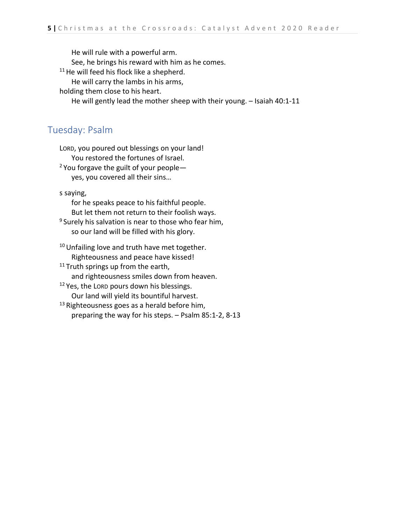He will rule with a powerful arm.

See, he brings his reward with him as he comes.

<sup>11</sup> He will feed his flock like a shepherd.

He will carry the lambs in his arms,

holding them close to his heart.

He will gently lead the mother sheep with their young. – Isaiah 40:1-11

### Tuesday: Psalm

LORD, you poured out blessings on your land! You restored the fortunes of Israel.

 $2$  You forgave the guilt of your people yes, you covered all their sins…

s saying,

for he speaks peace to his faithful people. But let them not return to their foolish ways.

<sup>9</sup> Surely his salvation is near to those who fear him, so our land will be filled with his glory.

<sup>10</sup> Unfailing love and truth have met together. Righteousness and peace have kissed!

<sup>11</sup> Truth springs up from the earth, and righteousness smiles down from heaven.

<sup>12</sup> Yes, the LORD pours down his blessings. Our land will yield its bountiful harvest.

<sup>13</sup> Righteousness goes as a herald before him, preparing the way for his steps. – Psalm 85:1-2, 8-13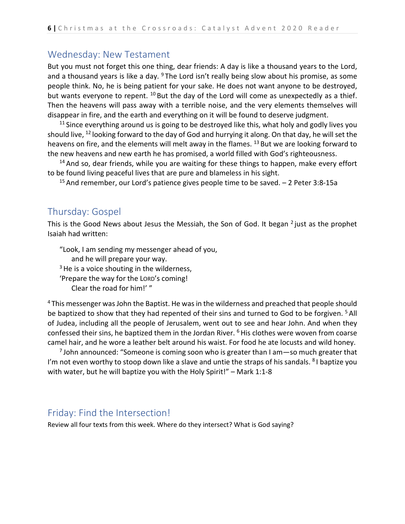### Wednesday: New Testament

But you must not forget this one thing, dear friends: A day is like a thousand years to the Lord, and a thousand years is like a day.  $9$  The Lord isn't really being slow about his promise, as some people think. No, he is being patient for your sake. He does not want anyone to be destroyed, but wants everyone to repent. <sup>10</sup> But the day of the Lord will come as unexpectedly as a thief. Then the heavens will pass away with a terrible noise, and the very elements themselves will disappear in fire, and the earth and everything on it will be found to deserve judgment.

 $11$  Since everything around us is going to be destroyed like this, what holy and godly lives you should live, <sup>12</sup> looking forward to the day of God and hurrying it along. On that day, he will set the heavens on fire, and the elements will melt away in the flames. <sup>13</sup> But we are looking forward to the new heavens and new earth he has promised, a world filled with God's righteousness.

 $14$  And so, dear friends, while you are waiting for these things to happen, make every effort to be found living peaceful lives that are pure and blameless in his sight.

<sup>15</sup> And remember, our Lord's patience gives people time to be saved.  $-2$  Peter 3:8-15a

### Thursday: Gospel

This is the Good News about Jesus the Messiah, the Son of God. It began  $2$  just as the prophet Isaiah had written:

"Look, I am sending my messenger ahead of you, and he will prepare your way.  $3$  He is a voice shouting in the wilderness, 'Prepare the way for the LORD's coming! Clear the road for him!' "

<sup>4</sup> This messenger was John the Baptist. He was in the wilderness and preached that people should be baptized to show that they had repented of their sins and turned to God to be forgiven. <sup>5</sup> All of Judea, including all the people of Jerusalem, went out to see and hear John. And when they confessed their sins, he baptized them in the Jordan River.  $6$  His clothes were woven from coarse camel hair, and he wore a leather belt around his waist. For food he ate locusts and wild honey.

 $<sup>7</sup>$  John announced: "Someone is coming soon who is greater than I am—so much greater that</sup> I'm not even worthy to stoop down like a slave and untie the straps of his sandals. <sup>8</sup> I baptize you with water, but he will baptize you with the Holy Spirit!" – Mark 1:1-8

### Friday: Find the Intersection!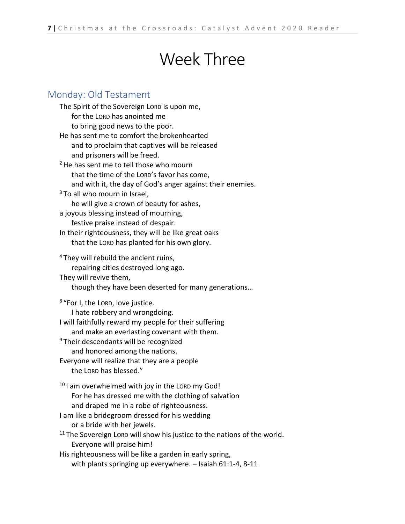# Week Three

### Monday: Old Testament

| The Spirit of the Sovereign LORD is upon me,                                        |
|-------------------------------------------------------------------------------------|
| for the LORD has anointed me                                                        |
| to bring good news to the poor.                                                     |
| He has sent me to comfort the brokenhearted                                         |
| and to proclaim that captives will be released                                      |
| and prisoners will be freed.                                                        |
| <sup>2</sup> He has sent me to tell those who mourn                                 |
| that the time of the LORD's favor has come,                                         |
| and with it, the day of God's anger against their enemies.                          |
| <sup>3</sup> To all who mourn in Israel,                                            |
| he will give a crown of beauty for ashes,                                           |
| a joyous blessing instead of mourning,                                              |
| festive praise instead of despair.                                                  |
| In their righteousness, they will be like great oaks                                |
| that the LORD has planted for his own glory.                                        |
| <sup>4</sup> They will rebuild the ancient ruins,                                   |
| repairing cities destroyed long ago.                                                |
| They will revive them,                                                              |
| though they have been deserted for many generations                                 |
| <sup>8</sup> "For I, the LORD, love justice.                                        |
| I hate robbery and wrongdoing.                                                      |
| I will faithfully reward my people for their suffering                              |
| and make an everlasting covenant with them.                                         |
| <sup>9</sup> Their descendants will be recognized                                   |
| and honored among the nations.                                                      |
| Everyone will realize that they are a people                                        |
| the LORD has blessed."                                                              |
| <sup>10</sup> I am overwhelmed with joy in the LORD my God!                         |
| For he has dressed me with the clothing of salvation                                |
| and draped me in a robe of righteousness.                                           |
| I am like a bridegroom dressed for his wedding                                      |
| or a bride with her jewels.                                                         |
| <sup>11</sup> The Sovereign Lorp will show his justice to the nations of the world. |
| Everyone will praise him!                                                           |
| His righteousness will be like a garden in early spring,                            |
| with plants springing up everywhere. - Isaiah 61:1-4, 8-11                          |
|                                                                                     |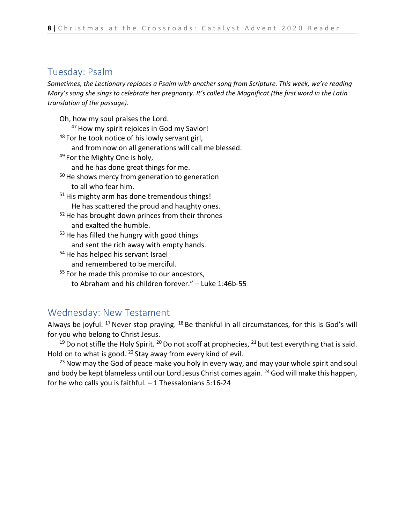### Tuesday: Psalm

*Sometimes, the Lectionary replaces a Psalm with another song from Scripture. This week, we're reading Mary's song she sings to celebrate her pregnancy. It's called the Magnificat (the first word in the Latin translation of the passage).*

- Oh, how my soul praises the Lord. <sup>47</sup> How my spirit rejoices in God my Savior! 48 For he took notice of his lowly servant girl,
	- and from now on all generations will call me blessed.
- 49 For the Mighty One is holy, and he has done great things for me.
- $50$  He shows mercy from generation to generation to all who fear him.
- $51$  His mighty arm has done tremendous things! He has scattered the proud and haughty ones.
- $52$  He has brought down princes from their thrones and exalted the humble.
- $53$  He has filled the hungry with good things and sent the rich away with empty hands.
- <sup>54</sup> He has helped his servant Israel and remembered to be merciful.
- <sup>55</sup> For he made this promise to our ancestors, to Abraham and his children forever." – Luke 1:46b-55

### Wednesday: New Testament

Always be joyful. <sup>17</sup> Never stop praying. <sup>18</sup> Be thankful in all circumstances, for this is God's will for you who belong to Christ Jesus.

<sup>19</sup> Do not stifle the Holy Spirit. <sup>20</sup> Do not scoff at prophecies, <sup>21</sup> but test everything that is said. Hold on to what is good. <sup>22</sup> Stay away from every kind of evil.

 $23$  Now may the God of peace make you holy in every way, and may your whole spirit and soul and body be kept blameless until our Lord Jesus Christ comes again. <sup>24</sup> God will make this happen, for he who calls you is faithful. – 1 Thessalonians 5:16-24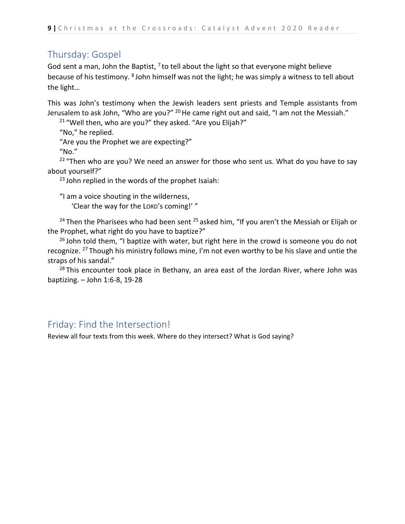### Thursday: Gospel

God sent a man, John the Baptist,  $^7$  to tell about the light so that everyone might believe because of his testimony. 8 John himself was not the light; he was simply a witness to tell about the light…

This was John's testimony when the Jewish leaders sent priests and Temple assistants from Jerusalem to ask John, "Who are you?" <sup>20</sup> He came right out and said, "I am not the Messiah."

 $21$  "Well then, who are you?" they asked. "Are you Elijah?"

"No," he replied. "Are you the Prophet we are expecting?" "No."

 $22$  "Then who are you? We need an answer for those who sent us. What do you have to say about yourself?"

 $23$  John replied in the words of the prophet Isaiah:

"I am a voice shouting in the wilderness, 'Clear the way for the LORD's coming!' "

<sup>24</sup> Then the Pharisees who had been sent  $25$  asked him, "If you aren't the Messiah or Elijah or the Prophet, what right do you have to baptize?"

 $26$  John told them, "I baptize with water, but right here in the crowd is someone you do not recognize. 27 Though his ministry follows mine, I'm not even worthy to be his slave and untie the straps of his sandal."

 $28$  This encounter took place in Bethany, an area east of the Jordan River, where John was baptizing. – John 1:6-8, 19-28

### Friday: Find the Intersection!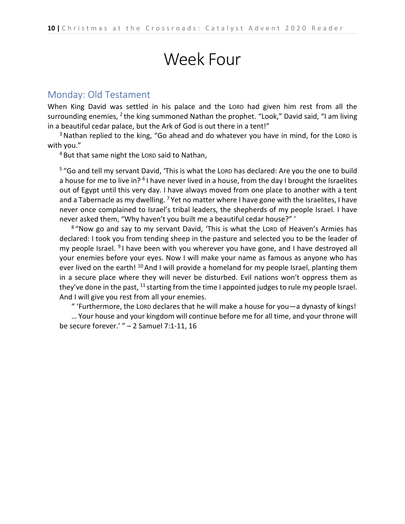# Week Four

#### Monday: Old Testament

When King David was settled in his palace and the LORD had given him rest from all the surrounding enemies, <sup>2</sup> the king summoned Nathan the prophet. "Look," David said, "I am living in a beautiful cedar palace, but the Ark of God is out there in a tent!"

<sup>3</sup> Nathan replied to the king, "Go ahead and do whatever you have in mind, for the LORD is with you."

 $4$  But that same night the LORD said to Nathan,

<sup>5</sup> "Go and tell my servant David, 'This is what the LORD has declared: Are you the one to build a house for me to live in? <sup>6</sup> I have never lived in a house, from the day I brought the Israelites out of Egypt until this very day. I have always moved from one place to another with a tent and a Tabernacle as my dwelling. <sup>7</sup> Yet no matter where I have gone with the Israelites, I have never once complained to Israel's tribal leaders, the shepherds of my people Israel. I have never asked them, "Why haven't you built me a beautiful cedar house?" '

<sup>8</sup> "Now go and say to my servant David, 'This is what the LORD of Heaven's Armies has declared: I took you from tending sheep in the pasture and selected you to be the leader of my people Israel. <sup>9</sup> I have been with you wherever you have gone, and I have destroyed all your enemies before your eyes. Now I will make your name as famous as anyone who has ever lived on the earth! <sup>10</sup> And I will provide a homeland for my people Israel, planting them in a secure place where they will never be disturbed. Evil nations won't oppress them as they've done in the past,  $11$  starting from the time I appointed judges to rule my people Israel. And I will give you rest from all your enemies.

" 'Furthermore, the LORD declares that he will make a house for you—a dynasty of kings! … Your house and your kingdom will continue before me for all time, and your throne will be secure forever.' " – 2 Samuel 7:1-11, 16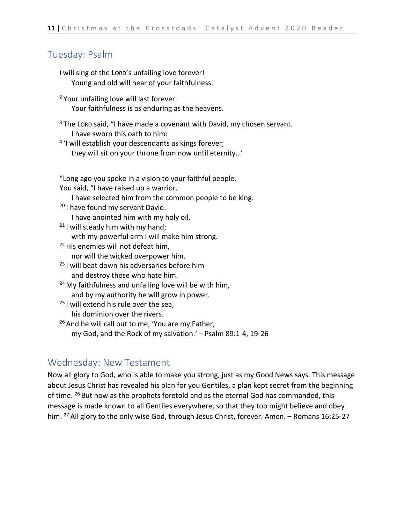### Tuesday: Psalm

- I will sing of the LORD's unfailing love forever! Young and old will hear of your faithfulness.
- <sup>2</sup> Your unfailing love will last forever. Your faithfulness is as enduring as the heavens.
- $3$  The LORD said, "I have made a covenant with David, my chosen servant. I have sworn this oath to him:
- <sup>4</sup> 'I will establish your descendants as kings forever; they will sit on your throne from now until eternity…'

"Long ago you spoke in a vision to your faithful people. You said, "I have raised up a warrior.

I have selected him from the common people to be king.

- <sup>20</sup> I have found my servant David. I have anointed him with my holy oil.
- $21$  I will steady him with my hand; with my powerful arm I will make him strong.
- <sup>22</sup> His enemies will not defeat him, nor will the wicked overpower him.
- <sup>23</sup> I will beat down his adversaries before him and destroy those who hate him.
- $24$  My faithfulness and unfailing love will be with him, and by my authority he will grow in power.
- <sup>25</sup> I will extend his rule over the sea, his dominion over the rivers.
- <sup>26</sup> And he will call out to me, 'You are my Father, my God, and the Rock of my salvation.' – Psalm 89:1-4, 19-26

### Wednesday: New Testament

Now all glory to God, who is able to make you strong, just as my Good News says. This message about Jesus Christ has revealed his plan for you Gentiles, a plan kept secret from the beginning of time. <sup>26</sup> But now as the prophets foretold and as the eternal God has commanded, this message is made known to all Gentiles everywhere, so that they too might believe and obey him. <sup>27</sup> All glory to the only wise God, through Jesus Christ, forever. Amen. – Romans 16:25-27